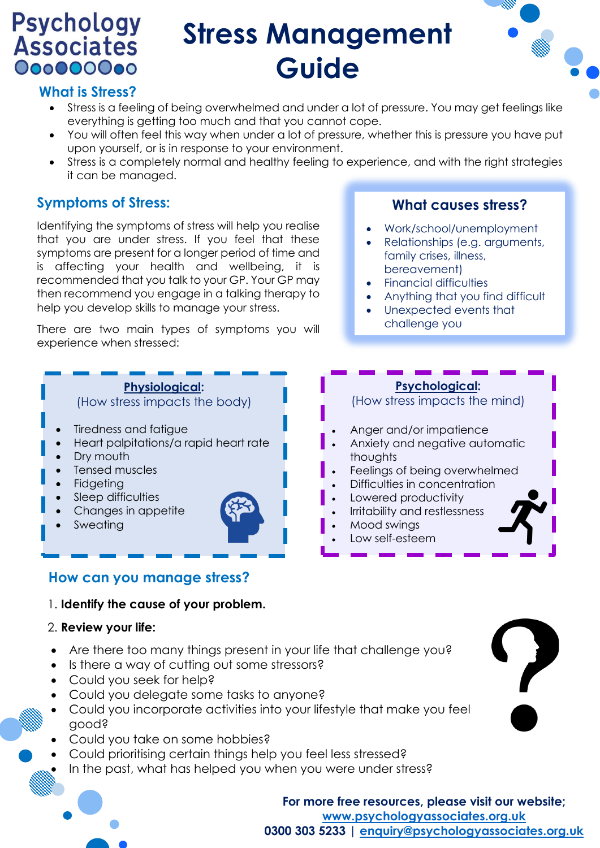# **Psychology**<br>Associates 000000000

## **Stress Management Guide**



#### **What is Stress?**

- Stress is a feeling of being overwhelmed and under a lot of pressure. You may get feelings like everything is getting too much and that you cannot cope.
- You will often feel this way when under a lot of pressure, whether this is pressure you have put upon yourself, or is in response to your environment.
- Stress is a completely normal and healthy feeling to experience, and with the right strategies it can be managed.

### **Symptoms of Stress:**

Identifying the symptoms of stress will help you realise that you are under stress. If you feel that these symptoms are present for a longer period of time and is affecting your health and wellbeing, it is recommended that you talk to your GP. Your GP may then recommend you engage in a talking therapy to help you develop skills to manage your stress.

There are two main types of symptoms you will experience when stressed:

#### **Physiological:**

(How stress impacts the body)

- Tiredness and fatigue
- Heart palpitations/a rapid heart rate
- Dry mouth
- Tensed muscles
- **Fidgeting**
- Sleep difficulties
- Changes in appetite
- **Sweating**

#### **What causes stress?**

- Work/school/unemployment
- Relationships (e.g. arguments, family crises, illness, bereavement)
- Financial difficulties
- Anything that you find difficult
- Unexpected events that challenge you

#### **Psychological:**

(How stress impacts the mind)

- Anger and/or impatience
- Anxiety and negative automatic thoughts
- Feelings of being overwhelmed
- Difficulties in concentration
- Lowered productivity
- Irritability and restlessness
- Mood swings
- Low self-esteem

#### **How can you manage stress?**

#### 1. **Identify the cause of your problem.**

#### 2. **Review your life:**

- Are there too many things present in your life that challenge you?
- Is there a way of cutting out some stressors?
- Could you seek for help?
- Could you delegate some tasks to anyone?
- Could you incorporate activities into your lifestyle that make you feel good?
- Could you take on some hobbies?
- Could prioritising certain things help you feel less stressed?
- In the past, what has helped you when you were under stress?

**For more free resources, please visit our website; [www.psychologyassociates.org.uk](http://www.psychologyassociates.org.uk/) 0300 303 5233 | [enquiry@psychologyassociates.org.uk](mailto:enquiry@psychologyassociates.org.uk)**